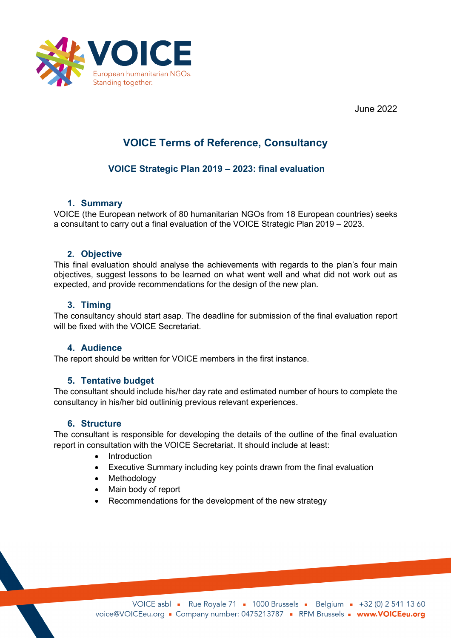

June 2022

# **VOICE Terms of Reference, Consultancy**

### **VOICE Strategic Plan 2019 – 2023: final evaluation**

#### **1. Summary**

VOICE (the European network of 80 humanitarian NGOs from 18 European countries) seeks a consultant to carry out a final evaluation of the VOICE Strategic Plan 2019 – 2023.

#### **2. Objective**

This final evaluation should analyse the achievements with regards to the plan's four main objectives, suggest lessons to be learned on what went well and what did not work out as expected, and provide recommendations for the design of the new plan.

#### **3. Timing**

The consultancy should start asap. The deadline for submission of the final evaluation report will be fixed with the VOICE Secretariat.

#### **4. Audience**

The report should be written for VOICE members in the first instance.

#### **5. Tentative budget**

The consultant should include his/her day rate and estimated number of hours to complete the consultancy in his/her bid outlininig previous relevant experiences.

#### **6. Structure**

The consultant is responsible for developing the details of the outline of the final evaluation report in consultation with the VOICE Secretariat. It should include at least:

- Introduction
- Executive Summary including key points drawn from the final evaluation
- Methodology
- Main body of report
- Recommendations for the development of the new strategy